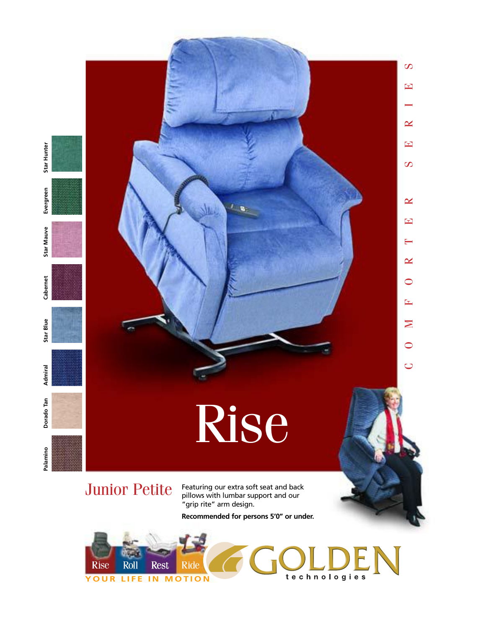